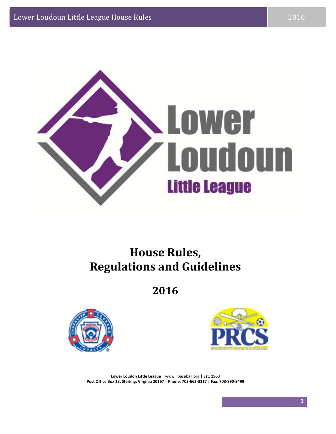

### **House Rules, Regulations and Guidelines**

**2016**





**Lower Loudon Little League |** www.llbaseball.org **| Est. 1963** Post Office Box 23, Sterling, Virginia 20167 | Phone: 703-662-3117 | Fax: 703-890-9499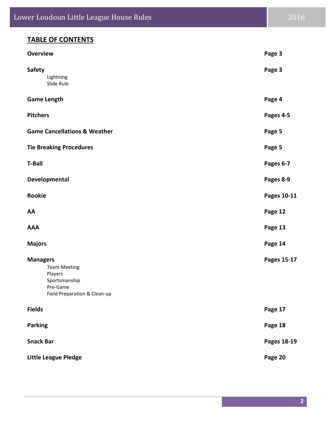| <b>Overview</b>                                                                                                | Page 3      |
|----------------------------------------------------------------------------------------------------------------|-------------|
| <b>Safety</b><br>Lightning<br>Slide Rule                                                                       | Page 3      |
| <b>Game Length</b>                                                                                             | Page 4      |
| <b>Pitchers</b>                                                                                                | Pages 4-5   |
| <b>Game Cancellations &amp; Weather</b>                                                                        | Page 5      |
| <b>Tie Breaking Procedures</b>                                                                                 | Page 5      |
| <b>T-Ball</b>                                                                                                  | Pages 6-7   |
| Developmental                                                                                                  | Pages 8-9   |
| <b>Rookie</b>                                                                                                  | Pages 10-11 |
| AA                                                                                                             | Page 12     |
| <b>AAA</b>                                                                                                     | Page 13     |
| <b>Majors</b>                                                                                                  | Page 14     |
| <b>Managers</b><br><b>Team Meeting</b><br>Players<br>Sportsmanship<br>Pre-Game<br>Field Preparation & Clean-up | Pages 15-17 |
| <b>Fields</b>                                                                                                  | Page 17     |
| <b>Parking</b>                                                                                                 | Page 18     |
| <b>Snack Bar</b>                                                                                               | Pages 18-19 |
| Little League Pledge                                                                                           | Page 20     |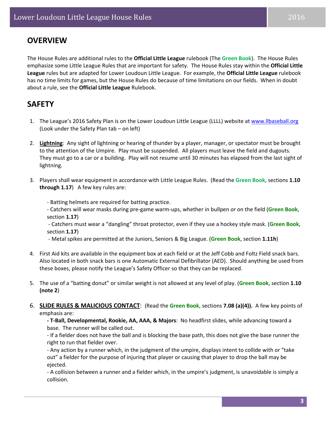#### **OVERVIEW**

The House Rules are additional rules to the **Official Little League** rulebook (The **Green Book**). The House Rules emphasize some Little League Rules that are important for safety. The House Rules stay within the **Official Little League** rules but are adapted for Lower Loudoun Little League. For example, the **Official Little League** rulebook has no time limits for games, but the House Rules do because of time limitations on our fields. When in doubt about a rule, see the **Official Little League** Rulebook.

#### **SAFETY**

- 1. The League's 2016 Safety Plan is on the Lower Loudoun Little League (LLLL) website at www.llbaseball.org (Look under the Safety Plan tab – on left)
- 2. **Lightning**: Any sight of lightning or hearing of thunder by a player, manager, or spectator must be brought to the attention of the Umpire. Play must be suspended. All players must leave the field and dugouts. They must go to a car or a building. Play will not resume until 30 minutes has elapsed from the last sight of lightning.
- 3. Players shall wear equipment in accordance with Little League Rules. (Read the **Green Book**, sections **1.10 through 1.17**) A few key rules are:
	- ‐ Batting helmets are required for batting practice.
	- ‐ Catchers will wear masks during pre‐game warm‐ups, whether in bullpen *or* on the field (**Green Book**, section **1.17**)
	- ‐ Catchers must wear a "dangling" throat protector, even if they use a hockey style mask. (**Green Book**, section **1.17**)
	- ‐ Metal spikes are permitted at the Juniors, Seniors & Big League. (**Green Book**, section **1.11h**)
- 4. First Aid kits are available in the equipment box at each field or at the Jeff Cobb and Foltz Field snack bars. Also located in both snack bars is one Automatic External Defibrillator (AED). Should anything be used from these boxes, please notify the League's Safety Officer so that they can be replaced.
- 5. The use of a "batting donut" or similar weight is not allowed at any level of play. (**Green Book**, section **1.10 (note 2**)
- 6. **SLIDE RULES & MALICIOUS CONTACT**: (Read the **Green Book**, sections **7.08 (a)(4)).** A few key points of emphasis are:
	- **‐ T‐Ball, Developmental, Rookie, AA, AAA, & Majors**: No headfirst slides, while advancing toward a base. The runner will be called out.
	- ‐ If a fielder does not have the ball and is blocking the base path, this does not give the base runner the right to run that fielder over.
	- ‐ Any action by a runner which, in the judgment of the umpire, displays intent to collide with or "take out" a fielder for the purpose of injuring that player or causing that player to drop the ball may be ejected.
	- ‐ A collision between a runner and a fielder which, in the umpire's judgment, is unavoidable is simply a collision.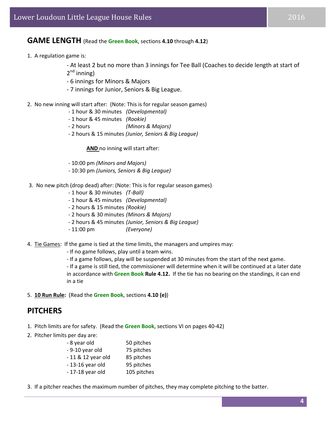#### **GAME LENGTH** (Read the **Green Book**, sections **4.10** through **4.12**)

1. A regulation game is:

‐ At least 2 but no more than 3 innings for Tee Ball (Coaches to decide length at start of

- $2^{nd}$  inning)
- ‐ 6 innings for Minors & Majors
- ‐ 7 innings for Junior, Seniors & Big League.
- 2. No new inning will start after: (Note: This is for regular season games)
	- ‐ 1 hour & 30 minutes *(Developmental)*
	- ‐ 1 hour & 45 minutes *(Rookie)*
	- ‐ 2 hours *(Minors & Majors)*
	- ‐ 2 hours & 15 minutes *(Junior, Seniors & Big League)*

**AND** no inning will start after:

- ‐ 10:00 pm *(Minors and Majors)*
- ‐ 10:30 pm *(Juniors, Seniors & Big League)*
- 3. No new pitch (drop dead) after: (Note: This is for regular season games)
	- ‐ 1 hour & 30 minutes *(T‐Ball)*
	- ‐ 1 hour & 45 minutes *(Developmental)*
	- ‐ 2 hours & 15 minutes *(Rookie)*
	- ‐ 2 hours & 30 minutes *(Minors & Majors)*
	- ‐ 2 hours & 45 minutes *(Junior, Seniors & Big League)*
	- ‐ 11:00 pm *(Everyone)*
- 4. Tie Games: If the game is tied at the time limits, the managers and umpires may:
	- ‐ If no game follows, play until a team wins.
	- ‐ If a game follows, play will be suspended at 30 minutes from the start of the next game.

‐ If a game is still tied, the commissioner will determine when it will be continued at a later date in accordance with **Green Book Rule 4.12.** If the tie has no bearing on the standings, it can end in a tie

5. **10 Run Rule:** (Read the **Green Book**, sections **4.10 (e)**)

#### **PITCHERS**

- 1. Pitch limits are for safety. (Read the **Green Book**, sections VI on pages 40‐42)
- 2. Pitcher limits per day are:

| - 8 year old       | 50 pitches  |
|--------------------|-------------|
| - 9-10 year old    | 75 pitches  |
| - 11 & 12 year old | 85 pitches  |
| $-13-16$ year old  | 95 pitches  |
| $-17-18$ year old  | 105 pitches |

3. If a pitcher reaches the maximum number of pitches, they may complete pitching to the batter.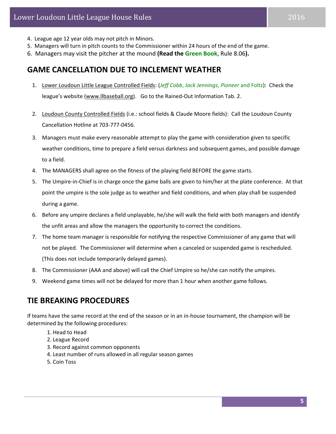- 4. League age 12 year olds may not pitch in Minors.
- 5. Managers will turn in pitch counts to the Commissioner within 24 hours of the end of the game.
- 6. Managers may visit the pitcher at the mound **(Read the Green Book**, Rule 8.06**).**

#### **GAME CANCELLATION DUE TO INCLEMENT WEATHER**

- 1. Lower Loudoun Little League Controlled Fields: (*Jeff Cobb*, *Jack Jennings*, *Pioneer* and Foltz): Check the league's website (www.llbaseball.org). Go to the Rained-Out Information Tab. 2.
- 2. Loudoun County Controlled Fields (i.e.: school fields & Claude Moore fields): Call the Loudoun County Cancellation Hotline at 703‐777‐0456.
- 3. Managers must make every reasonable attempt to play the game with consideration given to specific weather conditions, time to prepare a field versus darkness and subsequent games, and possible damage to a field.
- 4. The MANAGERS shall agree on the fitness of the playing field BEFORE the game starts.
- 5. The Umpire-in-Chief is in charge once the game balls are given to him/her at the plate conference. At that point the umpire is the sole judge as to weather and field conditions, and when play shall be suspended during a game.
- 6. Before any umpire declares a field unplayable, he/she will walk the field with both managers and identify the unfit areas and allow the managers the opportunity to correct the conditions.
- 7. The home team manager is responsible for notifying the respective Commissioner of any game that will not be played. The Commissioner will determine when a canceled or suspended game is rescheduled.

(This does not include temporarily delayed games).

- 8. The Commissioner (AAA and above) will call the Chief Umpire so he/she can notify the umpires.
- 9. Weekend game times will not be delayed for more than 1 hour when another game follows.

#### **TIE BREAKING PROCEDURES**

If teams have the same record at the end of the season or in an in‐house tournament, the champion will be determined by the following procedures:

- 1. Head to Head
- 2. League Record
- 3. Record against common opponents
- 4. Least number of runs allowed in all regular season games
- 5. Coin Toss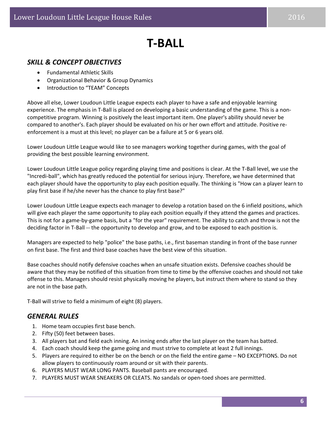## **T‐BALL**

#### *SKILL & CONCEPT OBJECTIVES*

- Fundamental Athletic Skills
- Organizational Behavior & Group Dynamics
- Introduction to "TEAM" Concepts

Above all else, Lower Loudoun Little League expects each player to have a safe and enjoyable learning experience. The emphasis in T-Ball is placed on developing a basic understanding of the game. This is a noncompetitive program. Winning is positively the least important item. One player's ability should never be compared to another's. Each player should be evaluated on his or her own effort and attitude. Positive re‐ enforcement is a must at this level; no player can be a failure at 5 or 6 years old.

Lower Loudoun Little League would like to see managers working together during games, with the goal of providing the best possible learning environment.

Lower Loudoun Little League policy regarding playing time and positions is clear. At the T‐Ball level, we use the "Incredi‐ball", which has greatly reduced the potential for serious injury. Therefore, we have determined that each player should have the opportunity to play each position equally. The thinking is "How can a player learn to play first base if he/she never has the chance to play first base?"

Lower Loudoun Little League expects each manager to develop a rotation based on the 6 infield positions, which will give each player the same opportunity to play each position equally if they attend the games and practices. This is not for a game‐by‐game basis, but a "for the year" requirement. The ability to catch and throw is not the deciding factor in T-Ball -- the opportunity to develop and grow, and to be exposed to each position is.

Managers are expected to help "police" the base paths, i.e., first baseman standing in front of the base runner on first base. The first and third base coaches have the best view of this situation.

Base coaches should notify defensive coaches when an unsafe situation exists. Defensive coaches should be aware that they may be notified of this situation from time to time by the offensive coaches and should not take offense to this. Managers should resist physically moving he players, but instruct them where to stand so they are not in the base path.

T‐Ball will strive to field a minimum of eight (8) players.

#### *GENERAL RULES*

- 1. Home team occupies first base bench.
- 2. Fifty (50) feet between bases.
- 3. All players bat and field each inning. An inning ends after the last player on the team has batted.
- 4. Each coach should keep the game going and must strive to complete at least 2 full innings.
- 5. Players are required to either be on the bench or on the field the entire game NO EXCEPTIONS. Do not allow players to continuously roam around or sit with their parents.
- 6. PLAYERS MUST WEAR LONG PANTS. Baseball pants are encouraged.
- 7. PLAYERS MUST WEAR SNEAKERS OR CLEATS. No sandals or open-toed shoes are permitted.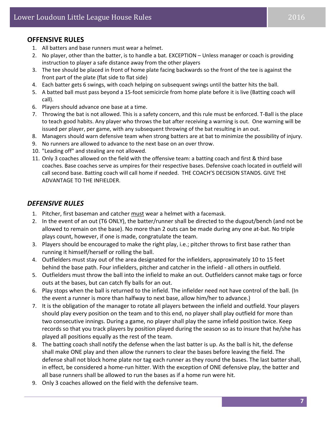#### **OFFENSIVE RULES**

- 1. All batters and base runners must wear a helmet.
- 2. No player, other than the batter, is to handle a bat. EXCEPTION Unless manager or coach is providing instruction to player a safe distance away from the other players
- 3. The tee should be placed in front of home plate facing backwards so the front of the tee is against the front part of the plate (flat side to flat side)
- 4. Each batter gets 6 swings, with coach helping on subsequent swings until the batter hits the ball.
- 5. A batted ball must pass beyond a 15‐foot semicircle from home plate before it is live (Batting coach will call).
- 6. Players should advance one base at a time.
- 7. Throwing the bat is not allowed. This is a safety concern, and this rule must be enforced. T‐Ball is the place to teach good habits. Any player who throws the bat after receiving a warning is out. One warning will be issued per player, per game, with any subsequent throwing of the bat resulting in an out.
- 8. Managers should warn defensive team when strong batters are at bat to minimize the possibility of injury.
- 9. No runners are allowed to advance to the next base on an over throw.
- 10. "Leading off" and stealing are not allowed.
- 11. Only 3 coaches allowed on the field with the offensive team: a batting coach and first & third base coaches. Base coaches serve as umpires for their respective bases. Defensive coach located in outfield will call second base. Batting coach will call home if needed. THE COACH'S DECISION STANDS. GIVE THE ADVANTAGE TO THE INFIELDER.

#### *DEFENSIVE RULES*

- 1. Pitcher, first baseman and catcher must wear a helmet with a facemask.
- 2. In the event of an out (T6 ONLY), the batter/runner shall be directed to the dugout/bench (and not be allowed to remain on the base). No more than 2 outs can be made during any one at‐bat. No triple plays count, however, if one is made, congratulate the team.
- 3. Players should be encouraged to make the right play, i.e.; pitcher throws to first base rather than running it himself/herself or rolling the ball.
- 4. Outfielders must stay out of the area designated for the infielders, approximately 10 to 15 feet behind the base path. Four infielders, pitcher and catcher in the infield - all others in outfield.
- 5. Outfielders must throw the ball into the infield to make an out. Outfielders cannot make tags or force outs at the bases, but can catch fly balls for an out.
- 6. Play stops when the ball is returned to the infield. The infielder need not have control of the ball. (In the event a runner is more than halfway to next base, allow him/her to advance.)
- 7. It is the obligation of the manager to rotate all players between the infield and outfield. Your players should play every position on the team and to this end, no player shall play outfield for more than two consecutive innings. During a game, no player shall play the same infield position twice. Keep records so that you track players by position played during the season so as to insure that he/she has played all positions equally as the rest of the team.
- 8. The batting coach shall notify the defense when the last batter is up. As the ball is hit, the defense shall make ONE play and then allow the runners to clear the bases before leaving the field. The defense shall not block home plate nor tag each runner as they round the bases. The last batter shall, in effect, be considered a home-run hitter. With the exception of ONE defensive play, the batter and all base runners shall be allowed to run the bases as if a home run were hit.
- 9. Only 3 coaches allowed on the field with the defensive team.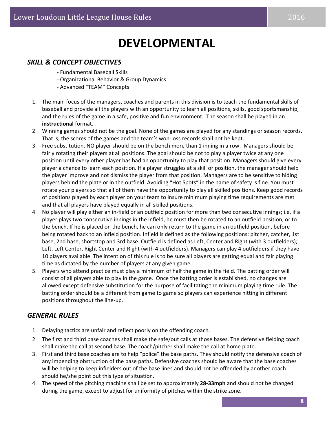## **DEVELOPMENTAL**

#### *SKILL & CONCEPT OBJECTIVES*

- ‐ Fundamental Baseball Skills
- ‐ Organizational Behavior & Group Dynamics
- ‐ Advanced "TEAM" Concepts
- 1. The main focus of the managers, coaches and parents in this division is to teach the fundamental skills of baseball and provide all the players with an opportunity to learn all positions, skills, good sportsmanship, and the rules of the game in a safe, positive and fun environment. The season shall be played in an **instructional** format.
- 2. Winning games should not be the goal. None of the games are played for any standings or season records. That is, the scores of the games and the team's won‐loss records shall not be kept.
- 3. Free substitution. NO player should be on the bench more than 1 inning in a row. Managers should be fairly rotating their players at all positions. The goal should be not to play a player twice at any one position until every other player has had an opportunity to play that position. Managers should give every player a chance to learn each position. If a player struggles at a skill or position, the manager should help the player improve and not dismiss the player from that position. Managers are to be sensitive to hiding players behind the plate or in the outfield. Avoiding "Hot Spots" in the name of safety is fine. You must rotate your players so that all of them have the opportunity to play all skilled positions. Keep good records of positions played by each player on your team to insure minimum playing time requirements are met and that all players have played equally in all skilled positions.
- 4. No player will play either an in‐field or an outfield position for more than two consecutive innings; i.e. if a player plays two consecutive innings in the infield, he must then be rotated to an outfield position, or to the bench. If he is placed on the bench, he can only return to the game in an outfield position, before being rotated back to an infield position. Infield is defined as the following positions: pitcher, catcher, 1st base, 2nd base, shortstop and 3rd base. Outfield is defined as Left, Center and Right (with 3 outfielders); Left, Left Center, Right Center and Right (with 4 outfielders). Managers can play 4 outfielders if they have 10 players available. The intention of this rule is to be sure all players are getting equal and fair playing time as dictated by the number of players at any given game.
- 5. Players who attend practice must play a minimum of half the game in the field. The batting order will consist of all players able to play in the game. Once the batting order is established, no changes are allowed except defensive substitution for the purpose of facilitating the minimum playing time rule. The batting order should be a different from game to game so players can experience hitting in different positions throughout the line‐up..

#### *GENERAL RULES*

- 1. Delaying tactics are unfair and reflect poorly on the offending coach.
- 2. The first and third base coaches shall make the safe/out calls at those bases. The defensive fielding coach shall make the call at second base. The coach/pitcher shall make the call at home plate.
- 3. First and third base coaches are to help "police" the base paths. They should notify the defensive coach of any impending obstruction of the base paths. Defensive coaches should be aware that the base coaches will be helping to keep infielders out of the base lines and should not be offended by another coach should he/she point out this type of situation.
- 4. The speed of the pitching machine shall be set to approximately **28‐33mph** and should not be changed during the game, except to adjust for uniformity of pitches within the strike zone.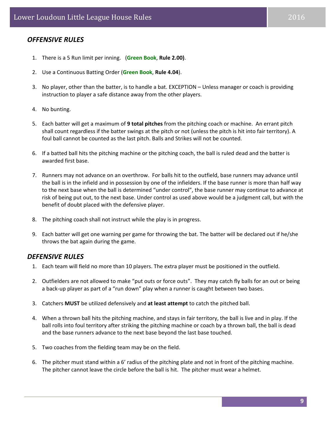#### *OFFENSIVE RULES*

- 1. There is a 5 Run limit per inning. (**Green Book**, **Rule 2.00)**.
- 2. Use a Continuous Batting Order (**Green Book**, **Rule 4.04**).
- 3. No player, other than the batter, is to handle a bat. EXCEPTION Unless manager or coach is providing instruction to player a safe distance away from the other players.
- 4. No bunting.
- 5. Each batter will get a maximum of **9 total pitches** from the pitching coach or machine. An errant pitch shall count regardless if the batter swings at the pitch or not (unless the pitch is hit into fair territory). A foul ball cannot be counted as the last pitch. Balls and Strikes will not be counted.
- 6. If a batted ball hits the pitching machine or the pitching coach, the ball is ruled dead and the batter is awarded first base.
- 7. Runners may not advance on an overthrow. For balls hit to the outfield, base runners may advance until the ball is in the infield and in possession by one of the infielders. If the base runner is more than half way to the next base when the ball is determined "under control", the base runner may continue to advance at risk of being put out, to the next base. Under control as used above would be a judgment call, but with the benefit of doubt placed with the defensive player.
- 8. The pitching coach shall not instruct while the play is in progress.
- 9. Each batter will get one warning per game for throwing the bat. The batter will be declared out if he/she throws the bat again during the game.

#### *DEFENSIVE RULES*

- 1. Each team will field no more than 10 players. The extra player must be positioned in the outfield.
- 2. Outfielders are not allowed to make "put outs or force outs". They may catch fly balls for an out or being a back-up player as part of a "run down" play when a runner is caught between two bases.
- 3. Catchers **MUST** be utilized defensively and **at least attempt** to catch the pitched ball.
- 4. When a thrown ball hits the pitching machine, and stays in fair territory, the ball is live and in play. If the ball rolls into foul territory after striking the pitching machine or coach by a thrown ball, the ball is dead and the base runners advance to the next base beyond the last base touched.
- 5. Two coaches from the fielding team may be on the field.
- 6. The pitcher must stand within a 6' radius of the pitching plate and not in front of the pitching machine. The pitcher cannot leave the circle before the ball is hit. The pitcher must wear a helmet.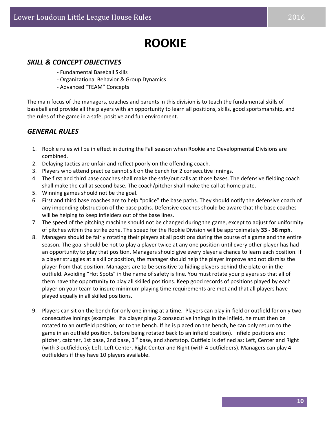### **ROOKIE**

#### *SKILL & CONCEPT OBJECTIVES*

- ‐ Fundamental Baseball Skills
- ‐ Organizational Behavior & Group Dynamics
- ‐ Advanced "TEAM" Concepts

The main focus of the managers, coaches and parents in this division is to teach the fundamental skills of baseball and provide all the players with an opportunity to learn all positions, skills, good sportsmanship, and the rules of the game in a safe, positive and fun environment.

#### *GENERAL RULES*

- 1. Rookie rules will be in effect in during the Fall season when Rookie and Developmental Divisions are combined.
- 2. Delaying tactics are unfair and reflect poorly on the offending coach.
- 3. Players who attend practice cannot sit on the bench for 2 consecutive innings.
- 4. The first and third base coaches shall make the safe/out calls at those bases. The defensive fielding coach shall make the call at second base. The coach/pitcher shall make the call at home plate.
- 5. Winning games should not be the goal.
- 6. First and third base coaches are to help "police" the base paths. They should notify the defensive coach of any impending obstruction of the base paths. Defensive coaches should be aware that the base coaches will be helping to keep infielders out of the base lines.
- 7. The speed of the pitching machine should not be changed during the game, except to adjust for uniformity of pitches within the strike zone. The speed for the Rookie Division will be approximately **33 ‐ 38 mph**.
- 8. Managers should be fairly rotating their players at all positions during the course of a game and the entire season. The goal should be not to play a player twice at any one position until every other player has had an opportunity to play that position. Managers should give every player a chance to learn each position. If a player struggles at a skill or position, the manager should help the player improve and not dismiss the player from that position. Managers are to be sensitive to hiding players behind the plate or in the outfield. Avoiding "Hot Spots" in the name of safety is fine. You must rotate your players so that all of them have the opportunity to play all skilled positions. Keep good records of positions played by each player on your team to insure minimum playing time requirements are met and that all players have played equally in all skilled positions.
- 9. Players can sit on the bench for only one inning at a time. Players can play in‐field or outfield for only two consecutive innings (example: If a player plays 2 consecutive innings in the infield, he must then be rotated to an outfield position, or to the bench. If he is placed on the bench, he can only return to the game in an outfield position, before being rotated back to an infield position). Infield positions are: pitcher, catcher, 1st base, 2nd base, 3<sup>rd</sup> base, and shortstop. Outfield is defined as: Left, Center and Right (with 3 outfielders); Left, Left Center, Right Center and Right (with 4 outfielders). Managers can play 4 outfielders if they have 10 players available.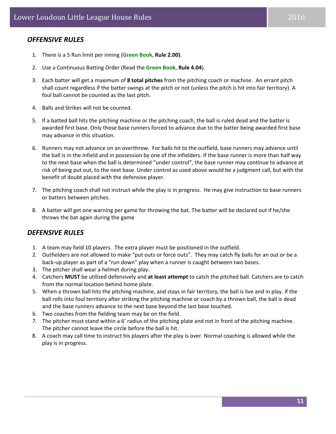#### *OFFENSIVE RULES*

- 1. There is a 5 Run limit per inning (**Green Book**, **Rule 2.00)**.
- 2. Use a Continuous Batting Order (Read the **Green Book**, **Rule 4.04**).
- 3. Each batter will get a maximum of **8 total pitches** from the pitching coach or machine. An errant pitch shall count regardless if the batter swings at the pitch or not (unless the pitch is hit into fair territory). A foul ball cannot be counted as the last pitch.
- 4. Balls and Strikes will not be counted.
- 5. If a batted ball hits the pitching machine or the pitching coach, the ball is ruled dead and the batter is awarded first base. Only those base runners forced to advance due to the batter being awarded first base may advance in this situation.
- 6. Runners may not advance on an overthrow. For balls hit to the outfield, base runners may advance until the ball is in the infield and in possession by one of the infielders. If the base runner is more than half way to the next base when the ball is determined "under control", the base runner may continue to advance at risk of being put out, to the next base. Under control as used above would be a judgment call, but with the benefit of doubt placed with the defensive player.
- 7. The pitching coach shall not instruct while the play is in progress. He may give instruction to base runners or batters between pitches.
- 8. A batter will get one warning per game for throwing the bat. The batter will be declared out if he/she throws the bat again during the game

#### *DEFENSIVE RULES*

- 1. A team may field 10 players. The extra player must be positioned in the outfield.
- 2. Outfielders are not allowed to make "put outs or force outs". They may catch fly balls for an out or be a back-up player as part of a "run down" play when a runner is caught between two bases.
- 3. The pitcher shall wear a helmet during play.
- 4. Catchers **MUST** be utilized defensively and **at least attempt** to catch the pitched ball. Catchers are to catch from the normal location behind home plate.
- 5. When a thrown ball hits the pitching machine, and stays in fair territory, the ball is live and in play. If the ball rolls into foul territory after striking the pitching machine or coach by a thrown ball, the ball is dead and the base runners advance to the next base beyond the last base touched.
- 6. Two coaches from the fielding team may be on the field.
- 7. The pitcher must stand within a 6' radius of the pitching plate and not in front of the pitching machine. The pitcher cannot leave the circle before the ball is hit.
- 8. A coach may call time to instruct his players after the play is over. Normal coaching is allowed while the play is in progress.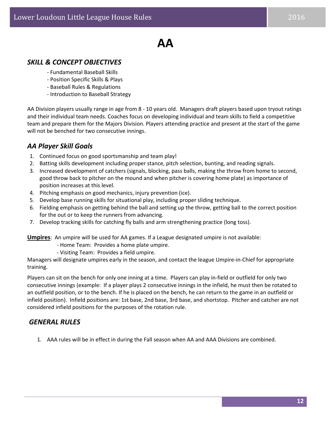### **AA**

#### *SKILL & CONCEPT OBJECTIVES*

- ‐ Fundamental Baseball Skills
- ‐ Position Specific Skills & Plays
- ‐ Baseball Rules & Regulations
- ‐ Introduction to Baseball Strategy

AA Division players usually range in age from 8 ‐ 10 years old. Managers draft players based upon tryout ratings and their individual team needs. Coaches focus on developing individual and team skills to field a competitive team and prepare them for the Majors Division. Players attending practice and present at the start of the game will not be benched for two consecutive innings.

#### *AA Player Skill Goals*

- 1. Continued focus on good sportsmanship and team play!
- 2. Batting skills development including proper stance, pitch selection, bunting, and reading signals.
- 3. Increased development of catchers (signals, blocking, pass balls, making the throw from home to second, good throw back to pitcher on the mound and when pitcher is covering home plate) as importance of position increases at this level.
- 4. Pitching emphasis on good mechanics, injury prevention (ice).
- 5. Develop base running skills for situational play, including proper sliding technique.
- 6. Fielding emphasis on getting behind the ball and setting up the throw, getting ball to the correct position for the out or to keep the runners from advancing.
- 7. Develop tracking skills for catching fly balls and arm strengthening practice (long toss).

**Umpires**: An umpire will be used for AA games. If a League designated umpire is not available:

- ‐ Home Team: Provides a home plate umpire.
- ‐ Visiting Team: Provides a field umpire.

Managers will designate umpires early in the season, and contact the league Umpire‐in‐Chief for appropriate training.

Players can sit on the bench for only one inning at a time. Players can play in‐field or outfield for only two consecutive innings (example: If a player plays 2 consecutive innings in the infield, he must then be rotated to an outfield position, or to the bench. If he is placed on the bench, he can return to the game in an outfield or infield position). Infield positions are: 1st base, 2nd base, 3rd base, and shortstop. Pitcher and catcher are not considered infield positions for the purposes of the rotation rule.

#### *GENERAL RULES*

1. AAA rules will be in effect in during the Fall season when AA and AAA Divisions are combined.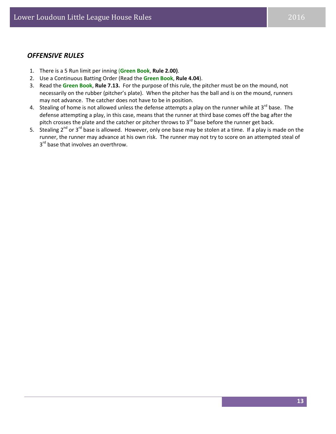- 1. There is a 5 Run limit per inning (**Green Book**, **Rule 2.00)**.
- 2. Use a Continuous Batting Order (Read the **Green Book**, **Rule 4.04**).
- 3. Read the **Green Book**, **Rule 7.13.** For the purpose of this rule, the pitcher must be on the mound, not necessarily on the rubber (pitcher's plate). When the pitcher has the ball and is on the mound, runners may not advance. The catcher does not have to be in position.
- 4. Stealing of home is not allowed unless the defense attempts a play on the runner while at  $3^{rd}$  base. The defense attempting a play, in this case, means that the runner at third base comes off the bag after the pitch crosses the plate and the catcher or pitcher throws to  $3^{rd}$  base before the runner get back.
- 5. Stealing  $2^{nd}$  or  $3^{rd}$  base is allowed. However, only one base may be stolen at a time. If a play is made on the runner, the runner may advance at his own risk. The runner may not try to score on an attempted steal of 3<sup>rd</sup> base that involves an overthrow.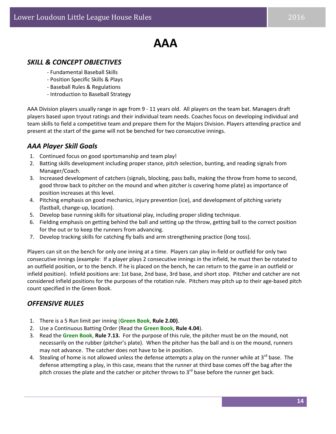### **AAA**

#### *SKILL & CONCEPT OBJECTIVES*

- ‐ Fundamental Baseball Skills
- ‐ Position Specific Skills & Plays
- ‐ Baseball Rules & Regulations
- ‐ Introduction to Baseball Strategy

AAA Division players usually range in age from 9 ‐ 11 years old. All players on the team bat. Managers draft players based upon tryout ratings and their individual team needs. Coaches focus on developing individual and team skills to field a competitive team and prepare them for the Majors Division. Players attending practice and present at the start of the game will not be benched for two consecutive innings.

#### *AAA Player Skill Goals*

- 1. Continued focus on good sportsmanship and team play!
- 2. Batting skills development including proper stance, pitch selection, bunting, and reading signals from Manager/Coach.
- 3. Increased development of catchers (signals, blocking, pass balls, making the throw from home to second, good throw back to pitcher on the mound and when pitcher is covering home plate) as importance of position increases at this level.
- 4. Pitching emphasis on good mechanics, injury prevention (ice), and development of pitching variety (fastball, change‐up, location).
- 5. Develop base running skills for situational play, including proper sliding technique.
- 6. Fielding emphasis on getting behind the ball and setting up the throw, getting ball to the correct position for the out or to keep the runners from advancing.
- 7. Develop tracking skills for catching fly balls and arm strengthening practice (long toss).

Players can sit on the bench for only one inning at a time. Players can play in‐field or outfield for only two consecutive innings (example: If a player plays 2 consecutive innings in the infield, he must then be rotated to an outfield position, or to the bench. If he is placed on the bench, he can return to the game in an outfield or infield position). Infield positions are: 1st base, 2nd base, 3rd base, and short stop. Pitcher and catcher are not considered infield positions for the purposes of the rotation rule. Pitchers may pitch up to their age-based pitch count specified in the Green Book.

#### *OFFENSIVE RULES*

- 1. There is a 5 Run limit per inning (**Green Book**, **Rule 2.00)**.
- 2. Use a Continuous Batting Order (Read the **Green Book**, **Rule 4.04**).
- 3. Read the **Green Book**, **Rule 7.13.** For the purpose of this rule, the pitcher must be on the mound, not necessarily on the rubber (pitcher's plate). When the pitcher has the ball and is on the mound, runners may not advance. The catcher does not have to be in position.
- 4. Stealing of home is not allowed unless the defense attempts a play on the runner while at  $3^{rd}$  base. The defense attempting a play, in this case, means that the runner at third base comes off the bag after the pitch crosses the plate and the catcher or pitcher throws to  $3<sup>rd</sup>$  base before the runner get back.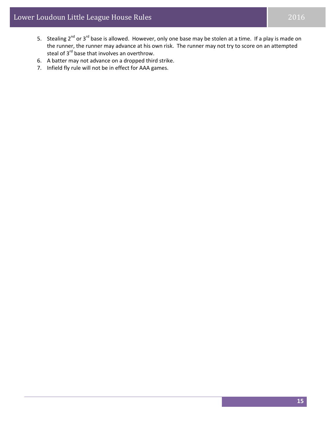- 5. Stealing 2<sup>nd</sup> or 3<sup>rd</sup> base is allowed. However, only one base may be stolen at a time. If a play is made on the runner, the runner may advance at his own risk. The runner may not try to score on an attempted steal of 3<sup>rd</sup> base that involves an overthrow.
- 6. A batter may not advance on a dropped third strike.
- 7. Infield fly rule will not be in effect for AAA games.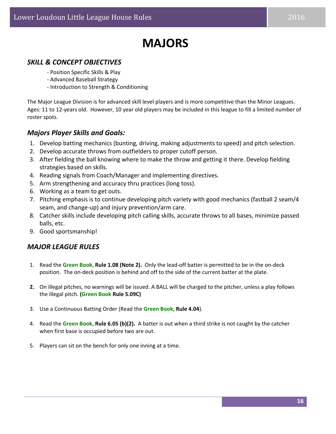### **MAJORS**

#### *SKILL & CONCEPT OBJECTIVES*

- ‐ Position Specific Skills & Play
- ‐ Advanced Baseball Strategy
- ‐ Introduction to Strength & Conditioning

The Major League Division is for advanced skill level players and is more competitive than the Minor Leagues. Ages: 11 to 12‐years old. However, 10 year old players may be included in this league to fill a limited number of roster spots.

#### *Majors Player Skills and Goals:*

- 1. Develop batting mechanics (bunting, driving, making adjustments to speed) and pitch selection.
- 2. Develop accurate throws from outfielders to proper cutoff person.
- 3. After fielding the ball knowing where to make the throw and getting it there. Develop fielding strategies based on skills.
- 4. Reading signals from Coach/Manager and implementing directives.
- 5. Arm strengthening and accuracy thru practices (long toss).
- 6. Working as a team to get outs.
- 7. Pitching emphasis is to continue developing pitch variety with good mechanics (fastball 2 seam/4 seam, and change‐up) and injury prevention/arm care.
- 8. Catcher skills include developing pitch calling skills, accurate throws to all bases, minimize passed balls, etc.
- 9. Good sportsmanship!

#### *MAJOR LEAGUE RULES*

- 1. Read the **Green Book**, **Rule 1.08 (Note 2).** Only the lead‐off batter is permitted to be in the on‐deck position. The on-deck position is behind and off to the side of the current batter at the plate.
- **2.** On illegal pitches, no warnings will be issued. A BALL will be charged to the pitcher, unless a play follows the illegal pitch. **(Green Book Rule 5.09C)**
- 3. Use a Continuous Batting Order (Read the **Green Book**, **Rule 4.04**).
- 4. Read the **Green Book**, **Rule 6.05 (b)(2).** A batter is out when a third strike is not caught by the catcher when first base is occupied before two are out.
- 5. Players can sit on the bench for only one inning at a time.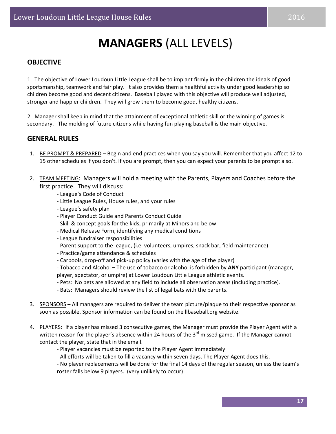## **MANAGERS** (ALL LEVELS)

#### **OBJECTIVE**

1. The objective of Lower Loudoun Little League shall be to implant firmly in the children the ideals of good sportsmanship, teamwork and fair play. It also provides them a healthful activity under good leadership so children become good and decent citizens. Baseball played with this objective will produce well adjusted, stronger and happier children. They will grow them to become good, healthy citizens.

2. Manager shall keep in mind that the attainment of exceptional athletic skill or the winning of games is secondary. The molding of future citizens while having fun playing baseball is the main objective.

#### **GENERAL RULES**

- 1. BE PROMPT & PREPARED Begin and end practices when you say you will. Remember that you affect 12 to 15 other schedules if you don't. If you are prompt, then you can expect your parents to be prompt also.
- 2. TEAM MEETING: Managers will hold a meeting with the Parents, Players and Coaches before the first practice. They will discuss:
	- ‐ League's Code of Conduct
	- ‐ Little League Rules, House rules, and your rules
	- ‐ League's safety plan
	- ‐ Player Conduct Guide and Parents Conduct Guide
	- ‐ Skill & concept goals for the kids, primarily at Minors and below
	- ‐ Medical Release Form, identifying any medical conditions
	- ‐ League fundraiser responsibilities
	- ‐ Parent support to the league, (i.e. volunteers, umpires, snack bar, field maintenance)
	- ‐ Practice/game attendance & schedules
	- ‐ Carpools, drop‐off and pick‐up policy (varies with the age of the player)
	- ‐ Tobacco and Alcohol **–** The use of tobacco or alcohol is forbidden by **ANY** participant (manager, player, spectator, or umpire) at Lower Loudoun Little League athletic events.
	- ‐ Pets: No pets are allowed at any field to include all observation areas (including practice).
	- ‐ Bats: Managers should review the list of legal bats with the parents.
- 3. SPONSORS All managers are required to deliver the team picture/plaque to their respective sponsor as soon as possible. Sponsor information can be found on the llbaseball.org website.
- 4. PLAYERS: If a player has missed 3 consecutive games, the Manager must provide the Player Agent with a written reason for the player's absence within 24 hours of the  $3<sup>rd</sup>$  missed game. If the Manager cannot contact the player, state that in the email.
	- ‐ Player vacancies must be reported to the Player Agent immediately
	- ‐ All efforts will be taken to fill a vacancy within seven days. The Player Agent does this.

‐ No player replacements will be done for the final 14 days of the regular season, unless the team's roster falls below 9 players. (very unlikely to occur)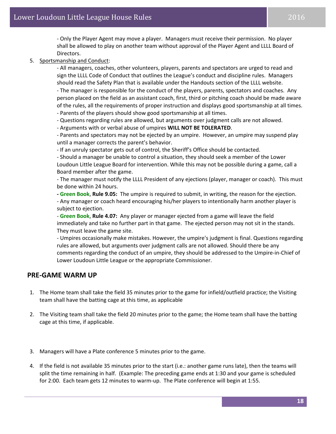‐ Only the Player Agent may move a player. Managers must receive their permission. No player shall be allowed to play on another team without approval of the Player Agent and LLLL Board of Directors.

5. Sportsmanship and Conduct:

‐ All managers, coaches, other volunteers, players, parents and spectators are urged to read and sign the LLLL Code of Conduct that outlines the League's conduct and discipline rules. Managers should read the Safety Plan that is available under the Handouts section of the LLLL website. ‐ The manager is responsible for the conduct of the players, parents, spectators and coaches. Any person placed on the field as an assistant coach, first, third or pitching coach should be made aware of the rules, all the requirements of proper instruction and displays good sportsmanship at all times. ‐ Parents of the players should show good sportsmanship at all times.

‐ Questions regarding rules are allowed, but arguments over judgment calls are not allowed.

‐ Arguments with or verbal abuse of umpires **WILL NOT BE TOLERATED**.

‐ Parents and spectators may not be ejected by an umpire. However, an umpire may suspend play until a manager corrects the parent's behavior.

‐ If an unruly spectator gets out of control, the Sheriff's Office should be contacted.

‐ Should a manager be unable to control a situation, they should seek a member of the Lower Loudoun Little League Board for intervention. While this may not be possible during a game, call a Board member after the game.

‐ The manager must notify the LLLL President of any ejections (player, manager or coach). This must be done within 24 hours.

**‐ Green Book**, **Rule 9.05:** The umpire is required to submit, in writing, the reason for the ejection. ‐ Any manager or coach heard encouraging his/her players to intentionally harm another player is subject to ejection.

‐ **Green Book**, **Rule 4.07:** Any player or manager ejected from a game will leave the field immediately and take no further part in that game. The ejected person may not sit in the stands. They must leave the game site.

‐ Umpires occasionally make mistakes. However, the umpire's judgment is final. Questions regarding rules are allowed, but arguments over judgment calls are not allowed. Should there be any comments regarding the conduct of an umpire, they should be addressed to the Umpire‐in‐Chief of Lower Loudoun Little League or the appropriate Commissioner.

#### **PRE‐GAME WARM UP**

- 1. The Home team shall take the field 35 minutes prior to the game for infield/outfield practice; the Visiting team shall have the batting cage at this time, as applicable
- 2. The Visiting team shall take the field 20 minutes prior to the game; the Home team shall have the batting cage at this time, if applicable.
- 3. Managers will have a Plate conference 5 minutes prior to the game.
- 4. If the field is not available 35 minutes prior to the start (i.e.: another game runs late), then the teams will split the time remaining in half. (Example: The preceding game ends at 1:30 and your game is scheduled for 2:00. Each team gets 12 minutes to warm‐up. The Plate conference will begin at 1:55.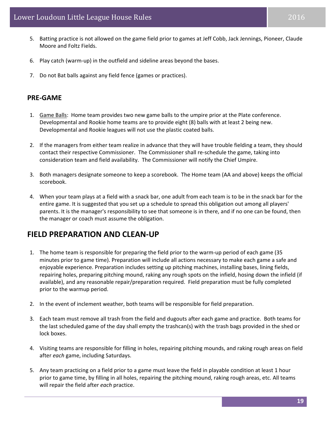- 5. Batting practice is not allowed on the game field prior to games at Jeff Cobb, Jack Jennings, Pioneer, Claude Moore and Foltz Fields.
- 6. Play catch (warm‐up) in the outfield and sideline areas beyond the bases.
- 7. Do not Bat balls against any field fence (games or practices).

#### **PRE‐GAME**

- 1. Game Balls: Home team provides two new game balls to the umpire prior at the Plate conference. Developmental and Rookie home teams are to provide eight (8) balls with at least 2 being new. Developmental and Rookie leagues will not use the plastic coated balls.
- 2. If the managers from either team realize in advance that they will have trouble fielding a team, they should contact their respective Commissioner. The Commissioner shall re‐schedule the game, taking into consideration team and field availability. The Commissioner will notify the Chief Umpire.
- 3. Both managers designate someone to keep a scorebook. The Home team (AA and above) keeps the official scorebook.
- 4. When your team plays at a field with a snack bar, one adult from each team is to be in the snack bar for the entire game. It is suggested that you set up a schedule to spread this obligation out among all players' parents. It is the manager's responsibility to see that someone is in there, and if no one can be found, then the manager or coach must assume the obligation.

#### **FIELD PREPARATION AND CLEAN‐UP**

- 1. The home team is responsible for preparing the field prior to the warm‐up period of each game (35 minutes prior to game time). Preparation will include all actions necessary to make each game a safe and enjoyable experience. Preparation includes setting up pitching machines, installing bases, lining fields, repairing holes, preparing pitching mound, raking any rough spots on the infield, hosing down the infield (if available), and any reasonable repair/preparation required. Field preparation must be fully completed prior to the warmup period.
- 2. In the event of inclement weather, both teams will be responsible for field preparation.
- 3. Each team must remove all trash from the field and dugouts after each game and practice. Both teams for the last scheduled game of the day shall empty the trashcan(s) with the trash bags provided in the shed or lock boxes.
- 4. Visiting teams are responsible for filling in holes, repairing pitching mounds, and raking rough areas on field after *each* game, including Saturdays.
- 5. Any team practicing on a field prior to a game must leave the field in playable condition at least 1 hour prior to game time, by filling in all holes, repairing the pitching mound, raking rough areas, etc. All teams will repair the field after *each* practice.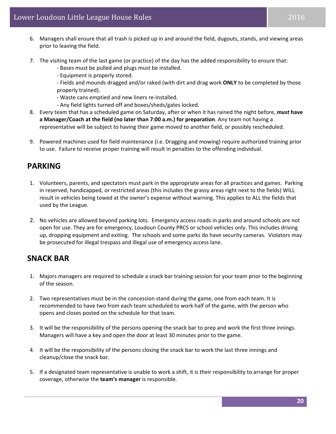- 6. Managers shall ensure that all trash is picked up in and around the field, dugouts, stands, and viewing areas prior to leaving the field.
- 7. The visiting team of the last game (or practice) of the day has the added responsibility to ensure that:

‐ Bases must be pulled and plugs must be installed.

‐ Equipment is properly stored.

‐ Fields and mounds dragged and/or raked (with dirt and drag work **ONLY** to be completed by those properly trained).

- ‐ Waste cans emptied and new liners re‐installed.
- ‐ Any field lights turned off and boxes/sheds/gates locked.
- 8. Every team that has a scheduled game on Saturday, after or when it has rained the night before, *must* **have a Manager/Coach at the field (no later than 7:00 a.m.) for preparation**. Any team not having a representative will be subject to having their game moved to another field, or possibly rescheduled.
- 9. Powered machines used for field maintenance (i.e. Dragging and mowing) require authorized training prior to use. Failure to receive proper training will result in penalties to the offending individual.

#### **PARKING**

- 1. Volunteers, parents, and spectators must park in the appropriate areas for all practices and games. Parking in reserved, handicapped, or restricted areas (this includes the grassy areas right next to the fields) WILL result in vehicles being towed at the owner's expense without warning. This applies to ALL the fields that used by the League.
- 2. No vehicles are allowed beyond parking lots. Emergency access roads in parks and around schools are not open for use. They are for emergency, Loudoun County PRCS or school vehicles only. This includes driving up, dropping equipment and exiting. The schools and some parks do have security cameras. Violators may be prosecuted for illegal trespass and illegal use of emergency access lane.

#### **SNACK BAR**

- 1. Majors managers are required to schedule a snack bar training session for your team prior to the beginning of the season.
- 2. Two representatives must be in the concession stand during the game, one from each team. It is recommended to have two from each team scheduled to work half of the game, with the person who opens and closes posted on the schedule for that team.
- 3. It will be the responsibility of the persons opening the snack bar to prep and work the first three innings. Managers will have a key and open the door at least 30 minutes prior to the game.
- 4. It will be the responsibility of the persons closing the snack bar to work the last three innings and cleanup/close the snack bar.
- 5. If a designated team representative is unable to work a shift, it is their responsibility to arrange for proper coverage, otherwise the **team's manager** is responsible.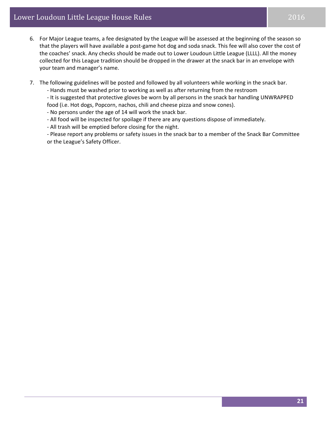- 6. For Major League teams, a fee designated by the League will be assessed at the beginning of the season so that the players will have available a post‐game hot dog and soda snack. This fee will also cover the cost of the coaches' snack. Any checks should be made out to Lower Loudoun Little League (LLLL). All the money collected for this League tradition should be dropped in the drawer at the snack bar in an envelope with your team and manager's name.
- 7. The following guidelines will be posted and followed by all volunteers while working in the snack bar.

‐ Hands must be washed prior to working as well as after returning from the restroom

‐ It is suggested that protective gloves be worn by all persons in the snack bar handling UNWRAPPED food (i.e. Hot dogs, Popcorn, nachos, chili and cheese pizza and snow cones).

‐ No persons under the age of 14 will work the snack bar.

‐ All food will be inspected for spoilage if there are any questions dispose of immediately.

‐ All trash will be emptied before closing for the night.

‐ Please report any problems or safety issues in the snack bar to a member of the Snack Bar Committee or the League's Safety Officer.